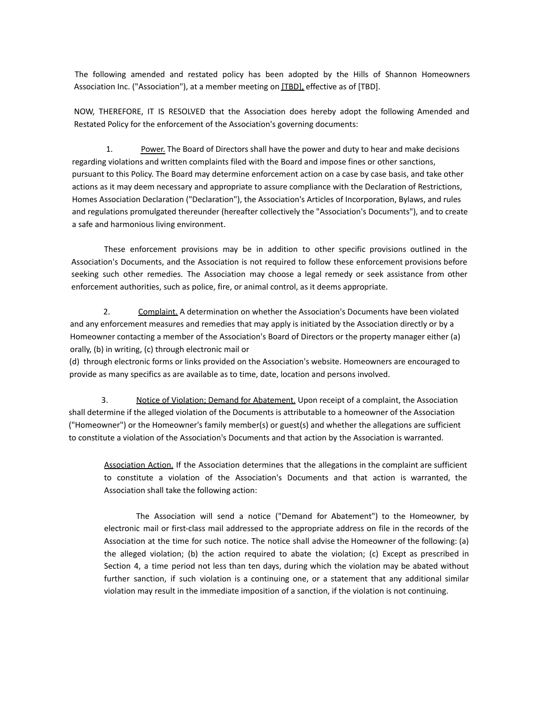The following amended and restated policy has been adopted by the Hills of Shannon Homeowners Association Inc. ("Association"), at a member meeting on [TBD], effective as of [TBD].

NOW, THEREFORE, IT IS RESOLVED that the Association does hereby adopt the following Amended and Restated Policy for the enforcement of the Association's governing documents:

1. Power. The Board of Directors shall have the power and duty to hear and make decisions regarding violations and written complaints filed with the Board and impose fines or other sanctions, pursuant to this Policy. The Board may determine enforcement action on a case by case basis, and take other actions as it may deem necessary and appropriate to assure compliance with the Declaration of Restrictions, Homes Association Declaration ("Declaration"), the Association's Articles of Incorporation, Bylaws, and rules and regulations promulgated thereunder (hereafter collectively the "Association's Documents"), and to create a safe and harmonious living environment.

These enforcement provisions may be in addition to other specific provisions outlined in the Association's Documents, and the Association is not required to follow these enforcement provisions before seeking such other remedies. The Association may choose a legal remedy or seek assistance from other enforcement authorities, such as police, fire, or animal control, as it deems appropriate.

2. Complaint. A determination on whether the Association's Documents have been violated and any enforcement measures and remedies that may apply is initiated by the Association directly or by a Homeowner contacting a member of the Association's Board of Directors or the property manager either (a) orally, (b) in writing, (c) through electronic mail or

(d) through electronic forms or links provided on the Association's website. Homeowners are encouraged to provide as many specifics as are available as to time, date, location and persons involved.

3. Notice of Violation; Demand for Abatement. Upon receipt of a complaint, the Association shall determine if the alleged violation of the Documents is attributable to a homeowner of the Association ("Homeowner") or the Homeowner's family member(s) or guest(s) and whether the allegations are sufficient to constitute a violation of the Association's Documents and that action by the Association is warranted.

Association Action. If the Association determines that the allegations in the complaint are sufficient to constitute a violation of the Association's Documents and that action is warranted, the Association shall take the following action:

The Association will send a notice ("Demand for Abatement") to the Homeowner, by electronic mail or first-class mail addressed to the appropriate address on file in the records of the Association at the time for such notice. The notice shall advise the Homeowner of the following: (a) the alleged violation; (b) the action required to abate the violation; (c) Except as prescribed in Section 4, a time period not less than ten days, during which the violation may be abated without further sanction, if such violation is a continuing one, or a statement that any additional similar violation may result in the immediate imposition of a sanction, if the violation is not continuing.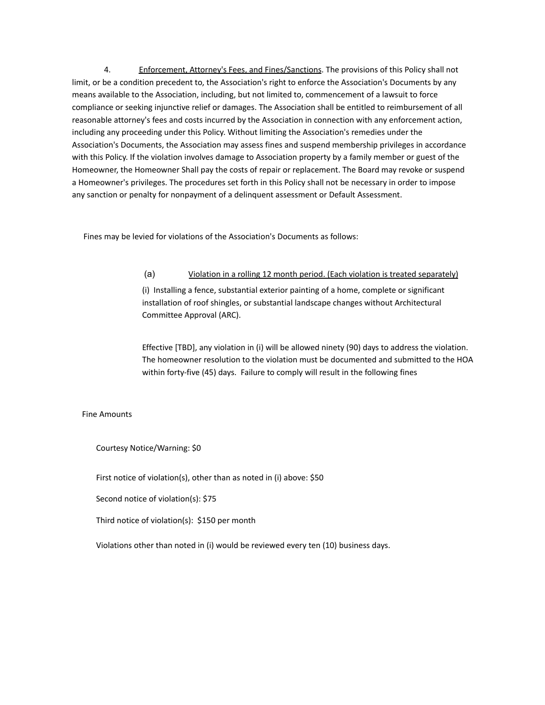4. Enforcement, Attorney's Fees, and Fines/Sanctions. The provisions of this Policy shall not limit, or be a condition precedent to, the Association's right to enforce the Association's Documents by any means available to the Association, including, but not limited to, commencement of a lawsuit to force compliance or seeking injunctive relief or damages. The Association shall be entitled to reimbursement of all reasonable attorney's fees and costs incurred by the Association in connection with any enforcement action, including any proceeding under this Policy. Without limiting the Association's remedies under the Association's Documents, the Association may assess fines and suspend membership privileges in accordance with this Policy. If the violation involves damage to Association property by a family member or guest of the Homeowner, the Homeowner Shall pay the costs of repair or replacement. The Board may revoke or suspend a Homeowner's privileges. The procedures set forth in this Policy shall not be necessary in order to impose any sanction or penalty for nonpayment of a delinquent assessment or Default Assessment.

Fines may be levied for violations of the Association's Documents as follows:

## (a) Violation in a rolling 12 month period. (Each violation is treated separately)

(i) Installing a fence, substantial exterior painting of a home, complete or significant installation of roof shingles, or substantial landscape changes without Architectural Committee Approval (ARC).

Effective [TBD], any violation in (i) will be allowed ninety (90) days to address the violation. The homeowner resolution to the violation must be documented and submitted to the HOA within forty-five (45) days. Failure to comply will result in the following fines

## Fine Amounts

Courtesy Notice/Warning: \$0

First notice of violation(s), other than as noted in (i) above: \$50

Second notice of violation(s): \$75

Third notice of violation(s): \$150 per month

Violations other than noted in (i) would be reviewed every ten (10) business days.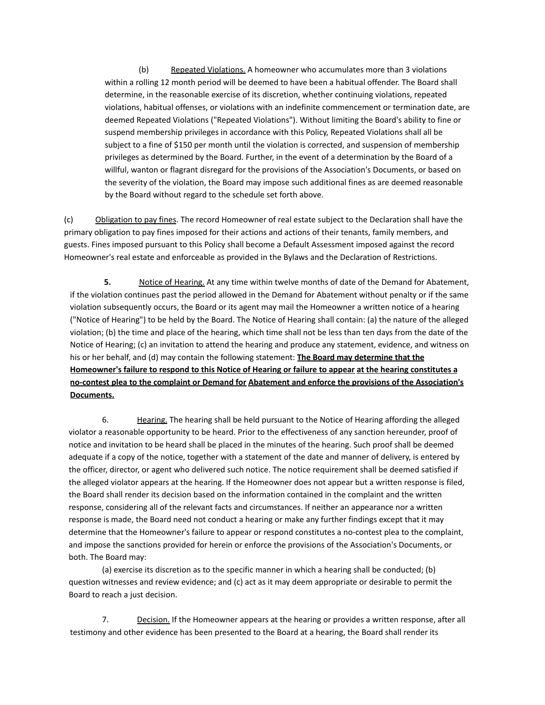(b) Repeated Violations. A homeowner who accumulates more than 3 violations within a rolling 12 month period will be deemed to have been a habitual offender. The Board shall determine, in the reasonable exercise of its discretion, whether continuing violations, repeated violations, habitual offenses, or violations with an indefinite commencement or termination date, are deemed Repeated Violations ("Repeated Violations"). Without limiting the Board's ability to fine or suspend membership privileges in accordance with this Policy, Repeated Violations shall all be subject to a fine of \$150 per month until the violation is corrected, and suspension of membership privileges as determined by the Board. Further, in the event of a determination by the Board of a willful, wanton or flagrant disregard for the provisions of the Association's Documents, or based on the severity of the violation, the Board may impose such additional fines as are deemed reasonable by the Board without regard to the schedule set forth above.

(c) Obligation to pay fines. The record Homeowner of real estate subject to the Declaration shall have the primary obligation to pay fines imposed for their actions and actions of their tenants, family members, and guests. Fines imposed pursuant to this Policy shall become a Default Assessment imposed against the record Homeowner's real estate and enforceable as provided in the Bylaws and the Declaration of Restrictions.

**5.** Notice of Hearing. At any time within twelve months of date of the Demand for Abatement, if the violation continues past the period allowed in the Demand for Abatement without penalty or if the same violation subsequently occurs, the Board or its agent may mail the Homeowner a written notice of a hearing ("Notice of Hearing") to be held by the Board. The Notice of Hearing shall contain: (a) the nature of the alleged violation; (b) the time and place of the hearing, which time shall not be less than ten days from the date of the Notice of Hearing; (c) an invitation to attend the hearing and produce any statement, evidence, and witness on his or her behalf, and (d) may contain the following statement: **The Board may determine that the** Homeowner's failure to respond to this Notice of Hearing or failure to appear at the hearing constitutes a **no-contest plea to the complaint or Demand for Abatement and enforce the provisions of the Association's Documents.**

6. Hearing. The hearing shall be held pursuant to the Notice of Hearing affording the alleged violator a reasonable opportunity to be heard. Prior to the effectiveness of any sanction hereunder, proof of notice and invitation to be heard shall be placed in the minutes of the hearing. Such proof shall be deemed adequate if a copy of the notice, together with a statement of the date and manner of delivery, is entered by the officer, director, or agent who delivered such notice. The notice requirement shall be deemed satisfied if the alleged violator appears at the hearing. If the Homeowner does not appear but a written response is filed, the Board shall render its decision based on the information contained in the complaint and the written response, considering all of the relevant facts and circumstances. If neither an appearance nor a written response is made, the Board need not conduct a hearing or make any further findings except that it may determine that the Homeowner's failure to appear or respond constitutes a no-contest plea to the complaint, and impose the sanctions provided for herein or enforce the provisions of the Association's Documents, or both. The Board may:

(a) exercise its discretion as to the specific manner in which a hearing shall be conducted; (b) question witnesses and review evidence; and (c) act as it may deem appropriate or desirable to permit the Board to reach a just decision.

7. Decision. If the Homeowner appears at the hearing or provides a written response, after all testimony and other evidence has been presented to the Board at a hearing, the Board shall render its